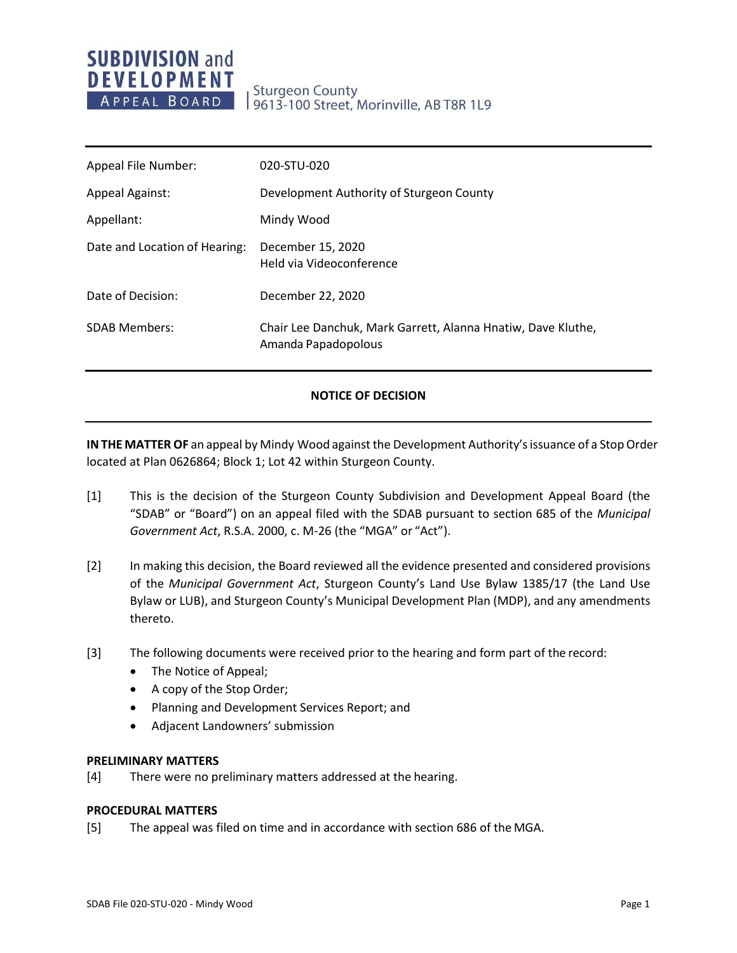# **SUBDIVISION and DEVELOPMENT** APPEAL BOARD

**Sturgeon County** 9613-100 Street, Morinville, AB T8R 1L9

| Appeal File Number:           | 020-STU-020                                                                         |
|-------------------------------|-------------------------------------------------------------------------------------|
| <b>Appeal Against:</b>        | Development Authority of Sturgeon County                                            |
| Appellant:                    | Mindy Wood                                                                          |
| Date and Location of Hearing: | December 15, 2020<br>Held via Videoconference                                       |
| Date of Decision:             | December 22, 2020                                                                   |
| <b>SDAB Members:</b>          | Chair Lee Danchuk, Mark Garrett, Alanna Hnatiw, Dave Kluthe,<br>Amanda Papadopolous |

## **NOTICE OF DECISION**

**IN THE MATTER OF** an appeal by Mindy Wood against the Development Authority's issuance of a Stop Order located at Plan 0626864; Block 1; Lot 42 within Sturgeon County.

- [1] This is the decision of the Sturgeon County Subdivision and Development Appeal Board (the "SDAB" or "Board") on an appeal filed with the SDAB pursuant to section 685 of the *Municipal Government Act*, R.S.A. 2000, c. M-26 (the "MGA" or "Act").
- [2] In making this decision, the Board reviewed all the evidence presented and considered provisions of the *Municipal Government Act*, Sturgeon County's Land Use Bylaw 1385/17 (the Land Use Bylaw or LUB), and Sturgeon County's Municipal Development Plan (MDP), and any amendments thereto.
- [3] The following documents were received prior to the hearing and form part of the record:
	- The Notice of Appeal;
	- A copy of the Stop Order;
	- Planning and Development Services Report; and
	- Adjacent Landowners' submission

#### **PRELIMINARY MATTERS**

[4] There were no preliminary matters addressed at the hearing.

#### **PROCEDURAL MATTERS**

[5] The appeal was filed on time and in accordance with section 686 of the MGA.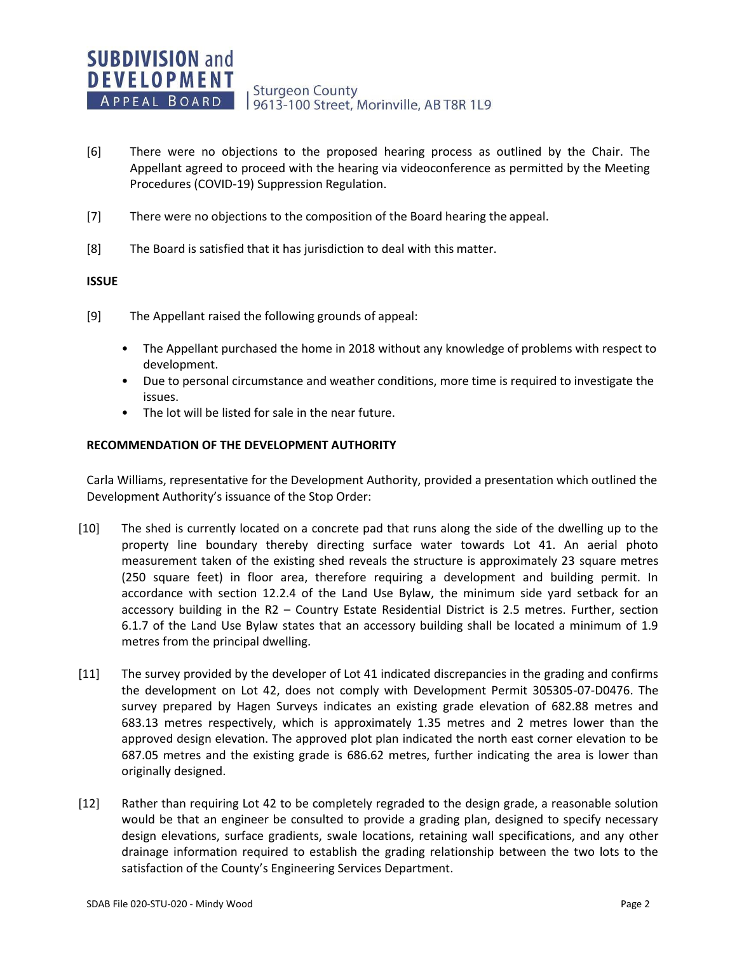- [6] There were no objections to the proposed hearing process as outlined by the Chair. The Appellant agreed to proceed with the hearing via videoconference as permitted by the Meeting Procedures (COVID-19) Suppression Regulation.
- [7] There were no objections to the composition of the Board hearing the appeal.
- [8] The Board is satisfied that it has jurisdiction to deal with this matter.

## **ISSUE**

- [9] The Appellant raised the following grounds of appeal:
	- The Appellant purchased the home in 2018 without any knowledge of problems with respect to development.
	- Due to personal circumstance and weather conditions, more time is required to investigate the issues.
	- The lot will be listed for sale in the near future.

## **RECOMMENDATION OF THE DEVELOPMENT AUTHORITY**

Carla Williams, representative for the Development Authority, provided a presentation which outlined the Development Authority's issuance of the Stop Order:

- [10] The shed is currently located on a concrete pad that runs along the side of the dwelling up to the property line boundary thereby directing surface water towards Lot 41. An aerial photo measurement taken of the existing shed reveals the structure is approximately 23 square metres (250 square feet) in floor area, therefore requiring a development and building permit. In accordance with section 12.2.4 of the Land Use Bylaw, the minimum side yard setback for an accessory building in the R2 – Country Estate Residential District is 2.5 metres. Further, section 6.1.7 of the Land Use Bylaw states that an accessory building shall be located a minimum of 1.9 metres from the principal dwelling.
- [11] The survey provided by the developer of Lot 41 indicated discrepancies in the grading and confirms the development on Lot 42, does not comply with Development Permit 305305-07-D0476. The survey prepared by Hagen Surveys indicates an existing grade elevation of 682.88 metres and 683.13 metres respectively, which is approximately 1.35 metres and 2 metres lower than the approved design elevation. The approved plot plan indicated the north east corner elevation to be 687.05 metres and the existing grade is 686.62 metres, further indicating the area is lower than originally designed.
- [12] Rather than requiring Lot 42 to be completely regraded to the design grade, a reasonable solution would be that an engineer be consulted to provide a grading plan, designed to specify necessary design elevations, surface gradients, swale locations, retaining wall specifications, and any other drainage information required to establish the grading relationship between the two lots to the satisfaction of the County's Engineering Services Department.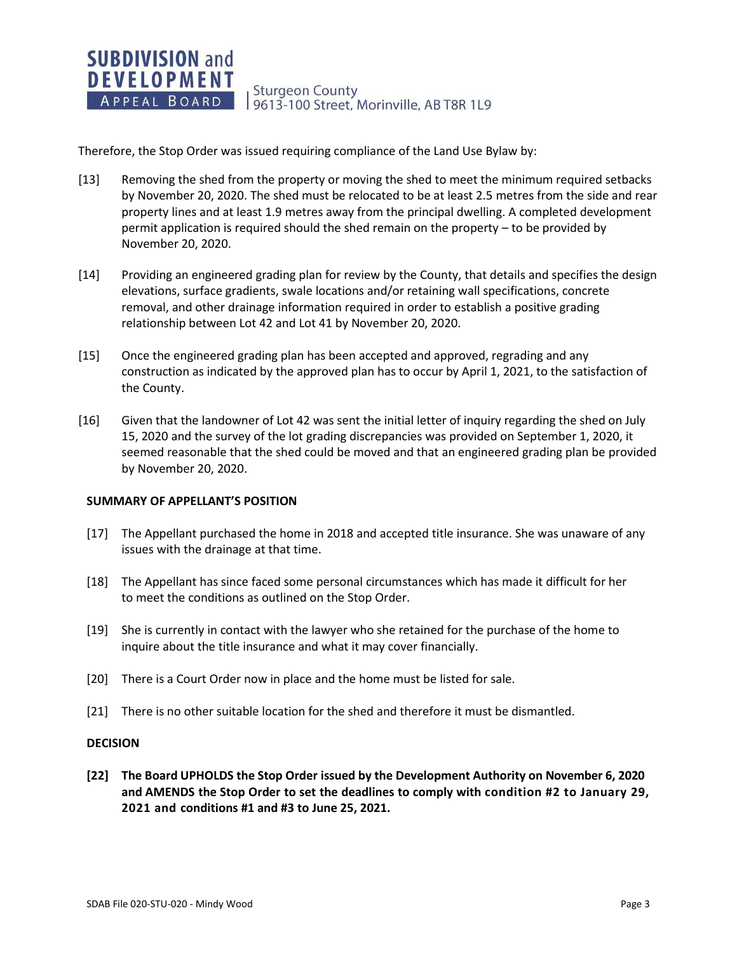**SUBDIVISION and DEVELOPMENT Sturgeon County** APPEAL BOARD 9613-100 Street, Morinville, AB T8R 1L9

Therefore, the Stop Order was issued requiring compliance of the Land Use Bylaw by:

- [13] Removing the shed from the property or moving the shed to meet the minimum required setbacks by November 20, 2020. The shed must be relocated to be at least 2.5 metres from the side and rear property lines and at least 1.9 metres away from the principal dwelling. A completed development permit application is required should the shed remain on the property – to be provided by November 20, 2020.
- [14] Providing an engineered grading plan for review by the County, that details and specifies the design elevations, surface gradients, swale locations and/or retaining wall specifications, concrete removal, and other drainage information required in order to establish a positive grading relationship between Lot 42 and Lot 41 by November 20, 2020.
- [15] Once the engineered grading plan has been accepted and approved, regrading and any construction as indicated by the approved plan has to occur by April 1, 2021, to the satisfaction of the County.
- [16] Given that the landowner of Lot 42 was sent the initial letter of inquiry regarding the shed on July 15, 2020 and the survey of the lot grading discrepancies was provided on September 1, 2020, it seemed reasonable that the shed could be moved and that an engineered grading plan be provided by November 20, 2020.

#### **SUMMARY OF APPELLANT'S POSITION**

- [17] The Appellant purchased the home in 2018 and accepted title insurance. She was unaware of any issues with the drainage at that time.
- [18] The Appellant has since faced some personal circumstances which has made it difficult for her to meet the conditions as outlined on the Stop Order.
- [19] She is currently in contact with the lawyer who she retained for the purchase of the home to inquire about the title insurance and what it may cover financially.
- [20] There is a Court Order now in place and the home must be listed for sale.
- [21] There is no other suitable location for the shed and therefore it must be dismantled.

## **DECISION**

**[22] The Board UPHOLDS the Stop Order issued by the Development Authority on November 6, 2020 and AMENDS the Stop Order to set the deadlines to comply with condition #2 to January 29, 2021 and conditions #1 and #3 to June 25, 2021.**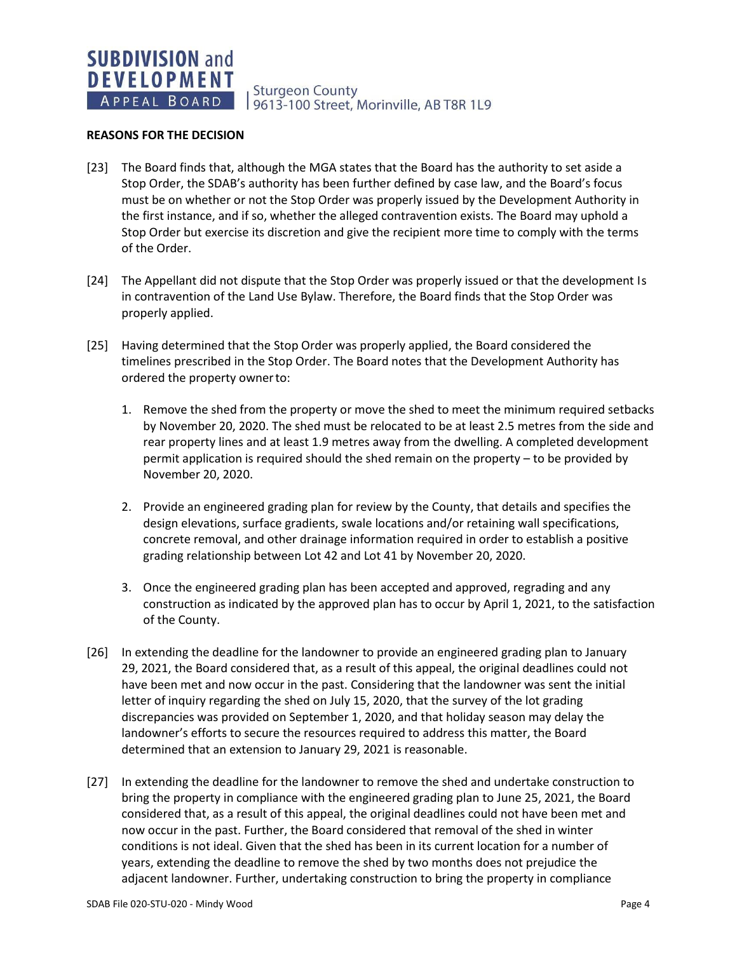**Sturgeon County** 9613-100 Street, Morinville, AB T8R 1L9

#### **REASONS FOR THE DECISION**

- [23] The Board finds that, although the MGA states that the Board has the authority to set aside a Stop Order, the SDAB's authority has been further defined by case law, and the Board's focus must be on whether or not the Stop Order was properly issued by the Development Authority in the first instance, and if so, whether the alleged contravention exists. The Board may uphold a Stop Order but exercise its discretion and give the recipient more time to comply with the terms of the Order.
- [24] The Appellant did not dispute that the Stop Order was properly issued or that the development Is in contravention of the Land Use Bylaw. Therefore, the Board finds that the Stop Order was properly applied.
- [25] Having determined that the Stop Order was properly applied, the Board considered the timelines prescribed in the Stop Order. The Board notes that the Development Authority has ordered the property ownerto:
	- 1. Remove the shed from the property or move the shed to meet the minimum required setbacks by November 20, 2020. The shed must be relocated to be at least 2.5 metres from the side and rear property lines and at least 1.9 metres away from the dwelling. A completed development permit application is required should the shed remain on the property – to be provided by November 20, 2020.
	- 2. Provide an engineered grading plan for review by the County, that details and specifies the design elevations, surface gradients, swale locations and/or retaining wall specifications, concrete removal, and other drainage information required in order to establish a positive grading relationship between Lot 42 and Lot 41 by November 20, 2020.
	- 3. Once the engineered grading plan has been accepted and approved, regrading and any construction as indicated by the approved plan has to occur by April 1, 2021, to the satisfaction of the County.
- [26] In extending the deadline for the landowner to provide an engineered grading plan to January 29, 2021, the Board considered that, as a result of this appeal, the original deadlines could not have been met and now occur in the past. Considering that the landowner was sent the initial letter of inquiry regarding the shed on July 15, 2020, that the survey of the lot grading discrepancies was provided on September 1, 2020, and that holiday season may delay the landowner's efforts to secure the resources required to address this matter, the Board determined that an extension to January 29, 2021 is reasonable.
- [27] In extending the deadline for the landowner to remove the shed and undertake construction to bring the property in compliance with the engineered grading plan to June 25, 2021, the Board considered that, as a result of this appeal, the original deadlines could not have been met and now occur in the past. Further, the Board considered that removal of the shed in winter conditions is not ideal. Given that the shed has been in its current location for a number of years, extending the deadline to remove the shed by two months does not prejudice the adjacent landowner. Further, undertaking construction to bring the property in compliance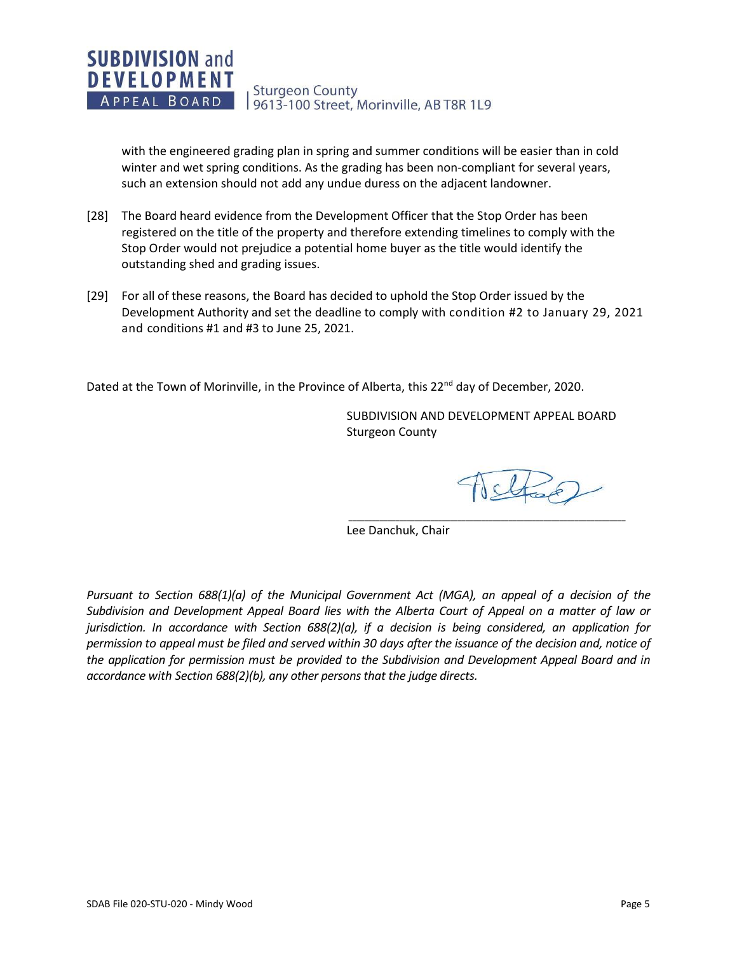

with the engineered grading plan in spring and summer conditions will be easier than in cold winter and wet spring conditions. As the grading has been non-compliant for several years, such an extension should not add any undue duress on the adjacent landowner.

- [28] The Board heard evidence from the Development Officer that the Stop Order has been registered on the title of the property and therefore extending timelines to comply with the Stop Order would not prejudice a potential home buyer as the title would identify the outstanding shed and grading issues.
- [29] For all of these reasons, the Board has decided to uphold the Stop Order issued by the Development Authority and set the deadline to comply with condition #2 to January 29, 2021 and conditions #1 and #3 to June 25, 2021.

Dated at the Town of Morinville, in the Province of Alberta, this 22<sup>nd</sup> day of December, 2020.

SUBDIVISION AND DEVELOPMENT APPEAL BOARD Sturgeon County

 $\overline{\phantom{a}}$  , and the contribution of the contribution of the contribution of the contribution of the contribution of the contribution of the contribution of the contribution of the contribution of the contribution of the

Ichap

Lee Danchuk, Chair

*Pursuant to Section 688(1)(a) of the Municipal Government Act (MGA), an appeal of a decision of the Subdivision and Development Appeal Board lies with the Alberta Court of Appeal on a matter of law or jurisdiction. In accordance with Section 688(2)(a), if a decision is being considered, an application for permission to appeal must be filed and served within 30 days after the issuance of the decision and, notice of the application for permission must be provided to the Subdivision and Development Appeal Board and in accordance with Section 688(2)(b), any other persons that the judge directs.*